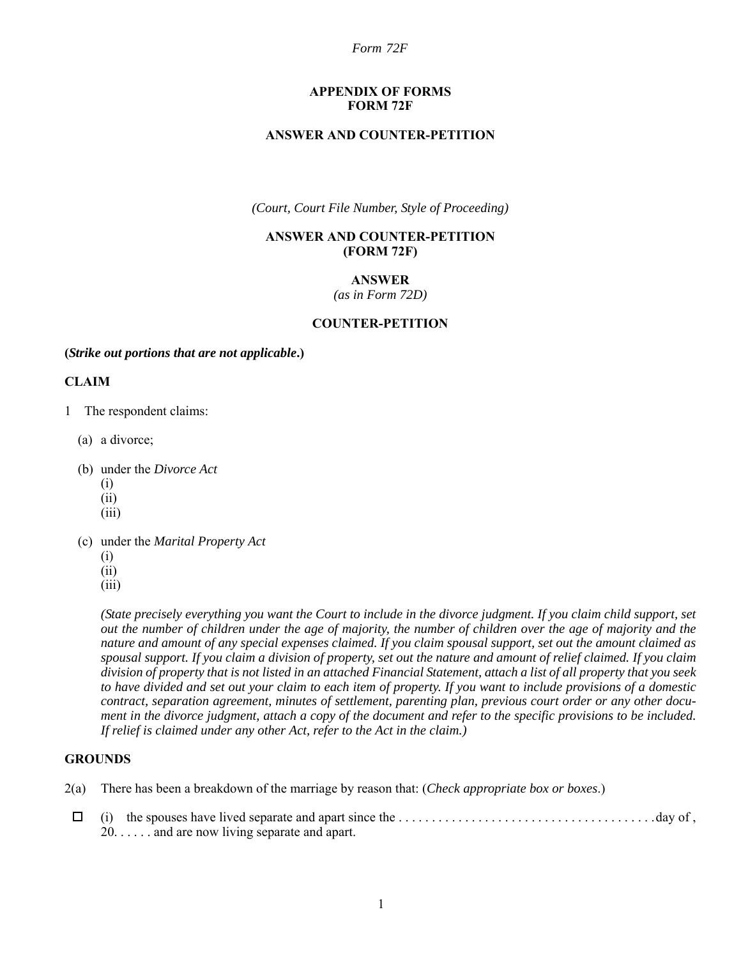#### **APPENDIX OF FORMS FORM 72F**

#### **ANSWER AND COUNTER-PETITION**

*(Court, Court File Number, Style of Proceeding)*

#### **ANSWER AND COUNTER-PETITION (FORM 72F)**

## **ANSWER**

*(as in Form 72D)*

## **COUNTER-PETITION**

#### **(***Strike out portions that are not applicable***.)**

#### **CLAIM**

- 1 The respondent claims:
	- (a) a divorce;
	- (b) under the *Divorce Act*
		- (i)
		- (ii)
		- (iii)
	- (c) under the *Marital Property Act*
		- (i)
		- (ii)
		- (iii)

*(State precisely everything you want the Court to include in the divorce judgment. If you claim child support, set out the number of children under the age of majority, the number of children over the age of majority and the nature and amount of any special expenses claimed. If you claim spousal support, set out the amount claimed as spousal support. If you claim a division of property, set out the nature and amount of relief claimed. If you claim division of property that is not listed in an attached Financial Statement, attach a list of all property that you seek to have divided and set out your claim to each item of property. If you want to include provisions of a domestic contract, separation agreement, minutes of settlement, parenting plan, previous court order or any other document in the divorce judgment, attach a copy of the document and refer to the specific provisions to be included. If relief is claimed under any other Act, refer to the Act in the claim.)*

#### **GROUNDS**

- 2(a) There has been a breakdown of the marriage by reason that: (*Check appropriate box or boxes*.)
- (i) the spouses have lived separate and apart since the . . . . . . . . . . . . . . . . . . . . . . . . . . . . . . . . . . . . . . .day of , 20. . . . . . and are now living separate and apart.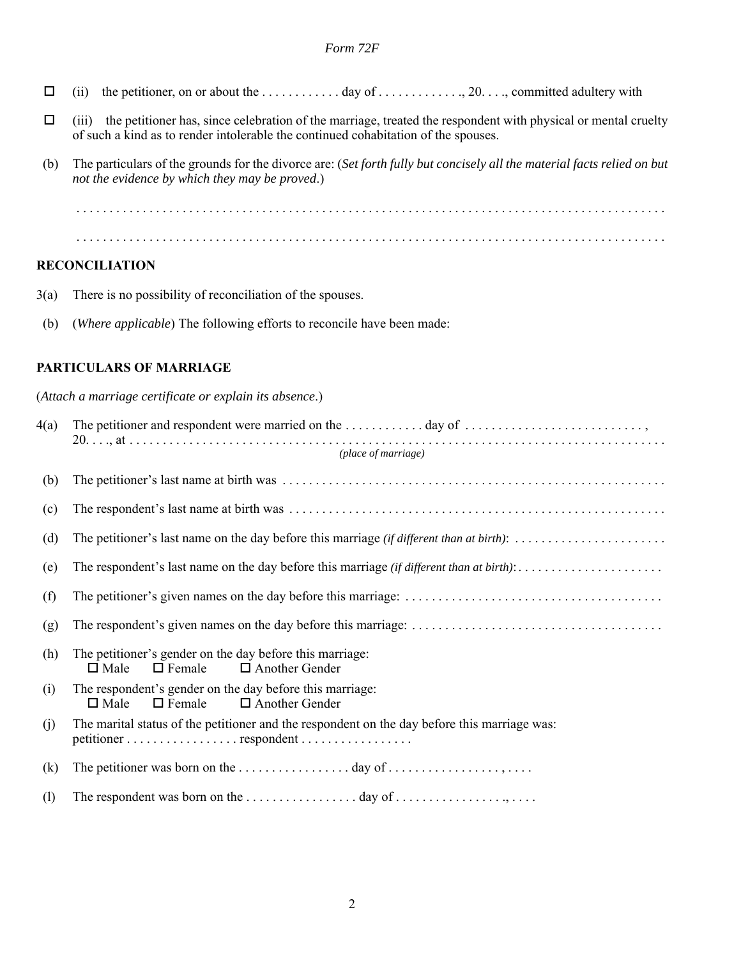- (ii) the petitioner, on or about the . . . . . . . . . . . . day of . . . . . . . . . . . . ., 20. . . ., committed adultery with
- $\Box$  (iii) the petitioner has, since celebration of the marriage, treated the respondent with physical or mental cruelty of such a kind as to render intolerable the continued cohabitation of the spouses.
- (b) The particulars of the grounds for the divorce are: (*Set forth fully but concisely all the material facts relied on but not the evidence by which they may be proved*.)

 . . . . . . . . . . . . . . . . . . . . . . . . . . . . . . . . . . . . . . . . . . . . . . . . . . . . . . . . . . . . . . . . . . . . . . . . . . . . . . . . . . . . . . . . . . . . . . . . . . . . . . . . . . . . . . . . . . . . . . . . . . . . . . . . . . . . . . . . . . . . . . . . . . . . . . . . . . . . . . . . . . . . . . . . . . . . . . . . . .

## **RECONCILIATION**

- 3(a) There is no possibility of reconciliation of the spouses.
- (b) (*Where applicable*) The following efforts to reconcile have been made:

#### **PARTICULARS OF MARRIAGE**

(*Attach a marriage certificate or explain its absence*.)

| 4(a) | The petitioner and respondent were married on the $\dots \dots \dots \dots$ day of $\dots \dots \dots \dots \dots \dots \dots$<br>(place of marriage) |
|------|-------------------------------------------------------------------------------------------------------------------------------------------------------|
| (b)  |                                                                                                                                                       |
| (c)  |                                                                                                                                                       |
| (d)  | The petitioner's last name on the day before this marriage (if different than at birth):                                                              |
| (e)  |                                                                                                                                                       |
| (f)  |                                                                                                                                                       |
| (g)  |                                                                                                                                                       |
| (h)  | The petitioner's gender on the day before this marriage:<br>$\Box$ Female<br>$\Box$ Another Gender<br>$\Box$ Male                                     |
| (i)  | The respondent's gender on the day before this marriage:<br>$\Box$ Female<br>$\Box$ Another Gender<br>$\Box$ Male                                     |
| (j)  | The marital status of the petitioner and the respondent on the day before this marriage was:<br>petitioner respondent                                 |
| (k)  |                                                                                                                                                       |
| (1)  |                                                                                                                                                       |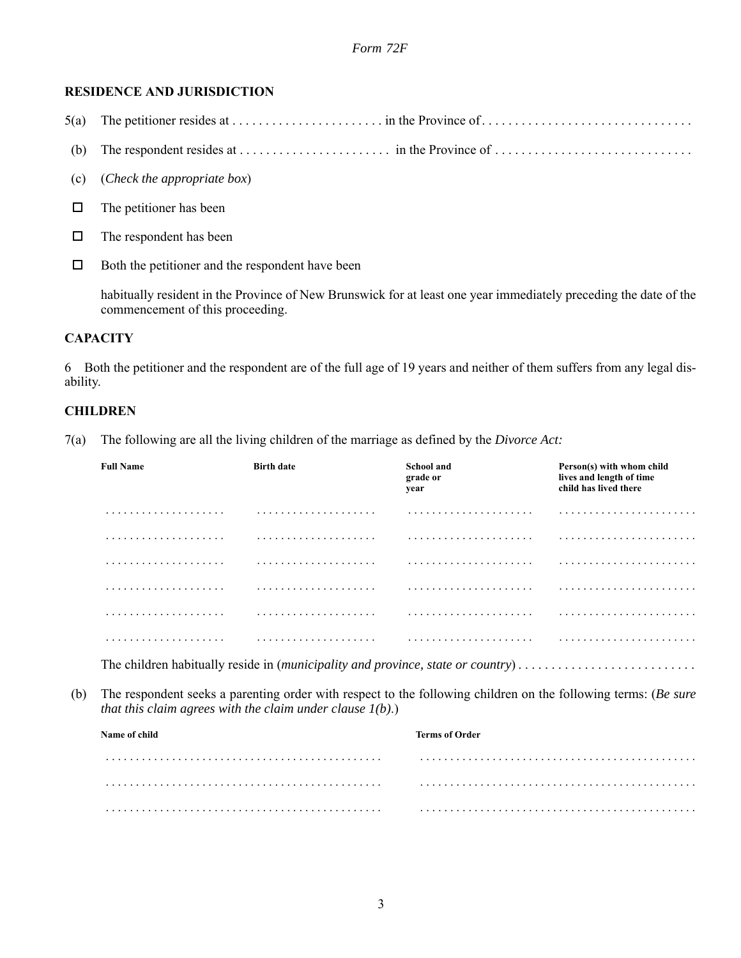# **RESIDENCE AND JURISDICTION**

- $5(a)$  The petitioner resides at  $\dots \dots \dots \dots \dots \dots$  in the Province of  $\dots \dots \dots \dots \dots \dots \dots \dots \dots \dots \dots$
- (b) The respondent resides at  $\dots \dots \dots \dots \dots$  in the Province of  $\dots \dots \dots \dots \dots \dots \dots \dots \dots \dots$
- (c) (*Check the appropriate box*)
- $\Box$  The petitioner has been
- $\Box$  The respondent has been
- $\Box$  Both the petitioner and the respondent have been

habitually resident in the Province of New Brunswick for at least one year immediately preceding the date of the commencement of this proceeding.

# **CAPACITY**

6 Both the petitioner and the respondent are of the full age of 19 years and neither of them suffers from any legal disability.

# **CHILDREN**

7(a) The following are all the living children of the marriage as defined by the *Divorce Act:*

| <b>Full Name</b>                                                                | <b>Birth date</b> | <b>School and</b><br>grade or<br>year | Person(s) with whom child<br>lives and length of time<br>child has lived there |  |  |
|---------------------------------------------------------------------------------|-------------------|---------------------------------------|--------------------------------------------------------------------------------|--|--|
|                                                                                 | .                 |                                       |                                                                                |  |  |
| .                                                                               | .                 |                                       |                                                                                |  |  |
|                                                                                 |                   |                                       |                                                                                |  |  |
|                                                                                 | .                 |                                       |                                                                                |  |  |
|                                                                                 |                   |                                       |                                                                                |  |  |
| .                                                                               |                   |                                       |                                                                                |  |  |
| The children habitually reside in (municipality and province, state or country) |                   |                                       |                                                                                |  |  |

(b) The respondent seeks a parenting order with respect to the following children on the following terms: (*Be sure that this claim agrees with the claim under clause 1(b)*.)

| Name of child | <b>Terms of Order</b> |  |  |
|---------------|-----------------------|--|--|
|               |                       |  |  |
|               |                       |  |  |
|               |                       |  |  |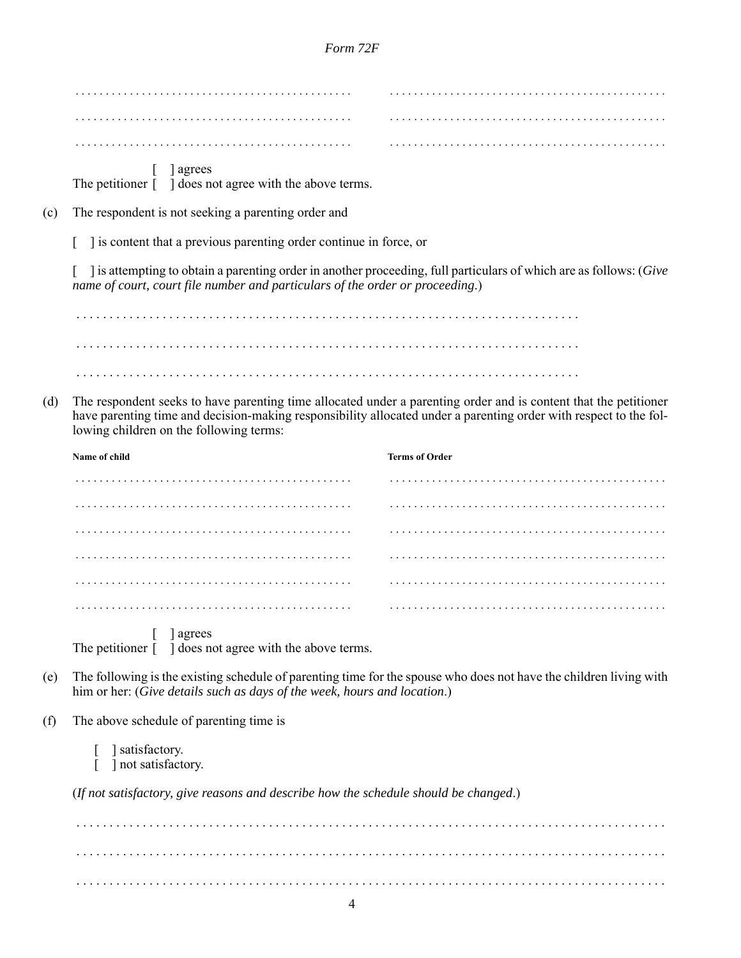|                                                                                                                                                                                                                                                                                         | ] agrees<br>The petitioner $\lceil \quad \rceil$ does not agree with the above terms.                                                                                                               |                       |  |  |
|-----------------------------------------------------------------------------------------------------------------------------------------------------------------------------------------------------------------------------------------------------------------------------------------|-----------------------------------------------------------------------------------------------------------------------------------------------------------------------------------------------------|-----------------------|--|--|
| (c)                                                                                                                                                                                                                                                                                     | The respondent is not seeking a parenting order and                                                                                                                                                 |                       |  |  |
|                                                                                                                                                                                                                                                                                         | ] is content that a previous parenting order continue in force, or                                                                                                                                  |                       |  |  |
|                                                                                                                                                                                                                                                                                         | ] is attempting to obtain a parenting order in another proceeding, full particulars of which are as follows: (Give<br>name of court, court file number and particulars of the order or proceeding.) |                       |  |  |
|                                                                                                                                                                                                                                                                                         |                                                                                                                                                                                                     |                       |  |  |
|                                                                                                                                                                                                                                                                                         |                                                                                                                                                                                                     |                       |  |  |
|                                                                                                                                                                                                                                                                                         |                                                                                                                                                                                                     |                       |  |  |
| The respondent seeks to have parenting time allocated under a parenting order and is content that the petitioner<br>(d)<br>have parenting time and decision-making responsibility allocated under a parenting order with respect to the fol-<br>lowing children on the following terms: |                                                                                                                                                                                                     |                       |  |  |
|                                                                                                                                                                                                                                                                                         | Name of child                                                                                                                                                                                       | <b>Terms of Order</b> |  |  |
|                                                                                                                                                                                                                                                                                         |                                                                                                                                                                                                     |                       |  |  |
|                                                                                                                                                                                                                                                                                         |                                                                                                                                                                                                     |                       |  |  |
|                                                                                                                                                                                                                                                                                         |                                                                                                                                                                                                     |                       |  |  |
|                                                                                                                                                                                                                                                                                         |                                                                                                                                                                                                     |                       |  |  |
|                                                                                                                                                                                                                                                                                         |                                                                                                                                                                                                     |                       |  |  |
|                                                                                                                                                                                                                                                                                         |                                                                                                                                                                                                     |                       |  |  |
|                                                                                                                                                                                                                                                                                         | agrees<br>The petitioner [ ] does not agree with the above terms.                                                                                                                                   |                       |  |  |
| (e)                                                                                                                                                                                                                                                                                     | The following is the existing schedule of parenting time for the spouse who does not have the children living with<br>him or her: (Give details such as days of the week, hours and location.)      |                       |  |  |
| (f)                                                                                                                                                                                                                                                                                     | The above schedule of parenting time is                                                                                                                                                             |                       |  |  |
|                                                                                                                                                                                                                                                                                         | ] satisfactory.<br>] not satisfactory.                                                                                                                                                              |                       |  |  |
|                                                                                                                                                                                                                                                                                         | (If not satisfactory, give reasons and describe how the schedule should be changed.)                                                                                                                |                       |  |  |
|                                                                                                                                                                                                                                                                                         |                                                                                                                                                                                                     |                       |  |  |

 . . . . . . . . . . . . . . . . . . . . . . . . . . . . . . . . . . . . . . . . . . . . . . . . . . . . . . . . . . . . . . . . . . . . . . . . . . . . . . . . . . . . . . . . . . . . . . . . . . . . . . . . . . . . . . . . . . . . . . . . . . . . . . . . . . . . . . . . . . . . . . . . . . . . . . . . . . . . . . . . . . . . . . . . . . . . . . . . . .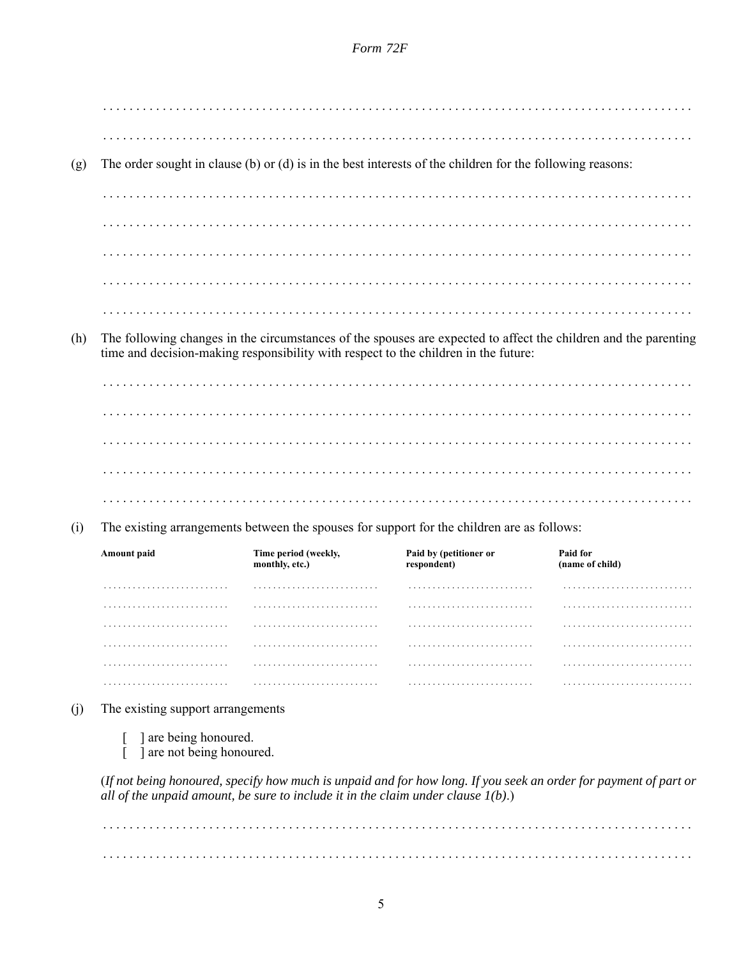| (g)                                                                                               |                                                                                                                                                                                                        |                                                                                     | The order sought in clause (b) or (d) is in the best interests of the children for the following reasons:        |                             |
|---------------------------------------------------------------------------------------------------|--------------------------------------------------------------------------------------------------------------------------------------------------------------------------------------------------------|-------------------------------------------------------------------------------------|------------------------------------------------------------------------------------------------------------------|-----------------------------|
|                                                                                                   |                                                                                                                                                                                                        |                                                                                     |                                                                                                                  |                             |
|                                                                                                   |                                                                                                                                                                                                        |                                                                                     |                                                                                                                  |                             |
|                                                                                                   |                                                                                                                                                                                                        |                                                                                     |                                                                                                                  |                             |
|                                                                                                   |                                                                                                                                                                                                        |                                                                                     |                                                                                                                  |                             |
|                                                                                                   |                                                                                                                                                                                                        |                                                                                     |                                                                                                                  |                             |
| (h)                                                                                               | The following changes in the circumstances of the spouses are expected to affect the children and the parenting<br>time and decision-making responsibility with respect to the children in the future: |                                                                                     |                                                                                                                  |                             |
|                                                                                                   |                                                                                                                                                                                                        |                                                                                     |                                                                                                                  |                             |
|                                                                                                   |                                                                                                                                                                                                        |                                                                                     |                                                                                                                  |                             |
|                                                                                                   |                                                                                                                                                                                                        |                                                                                     |                                                                                                                  |                             |
|                                                                                                   |                                                                                                                                                                                                        |                                                                                     |                                                                                                                  |                             |
|                                                                                                   |                                                                                                                                                                                                        |                                                                                     |                                                                                                                  |                             |
| The existing arrangements between the spouses for support for the children are as follows:<br>(i) |                                                                                                                                                                                                        |                                                                                     |                                                                                                                  |                             |
|                                                                                                   | Amount paid                                                                                                                                                                                            | Time period (weekly,<br>monthly, etc.)                                              | Paid by (petitioner or<br>respondent)                                                                            | Paid for<br>(name of child) |
|                                                                                                   | .                                                                                                                                                                                                      | .                                                                                   | .                                                                                                                |                             |
|                                                                                                   | .                                                                                                                                                                                                      | .                                                                                   | .                                                                                                                |                             |
|                                                                                                   |                                                                                                                                                                                                        |                                                                                     | .                                                                                                                |                             |
|                                                                                                   |                                                                                                                                                                                                        |                                                                                     |                                                                                                                  |                             |
|                                                                                                   |                                                                                                                                                                                                        |                                                                                     |                                                                                                                  |                             |
|                                                                                                   |                                                                                                                                                                                                        |                                                                                     |                                                                                                                  |                             |
| (j)                                                                                               | The existing support arrangements                                                                                                                                                                      |                                                                                     |                                                                                                                  |                             |
|                                                                                                   | ] are being honoured.<br>] are not being honoured.                                                                                                                                                     |                                                                                     |                                                                                                                  |                             |
|                                                                                                   |                                                                                                                                                                                                        | all of the unpaid amount, be sure to include it in the claim under clause $1(b)$ .) | (If not being honoured, specify how much is unpaid and for how long. If you seek an order for payment of part or |                             |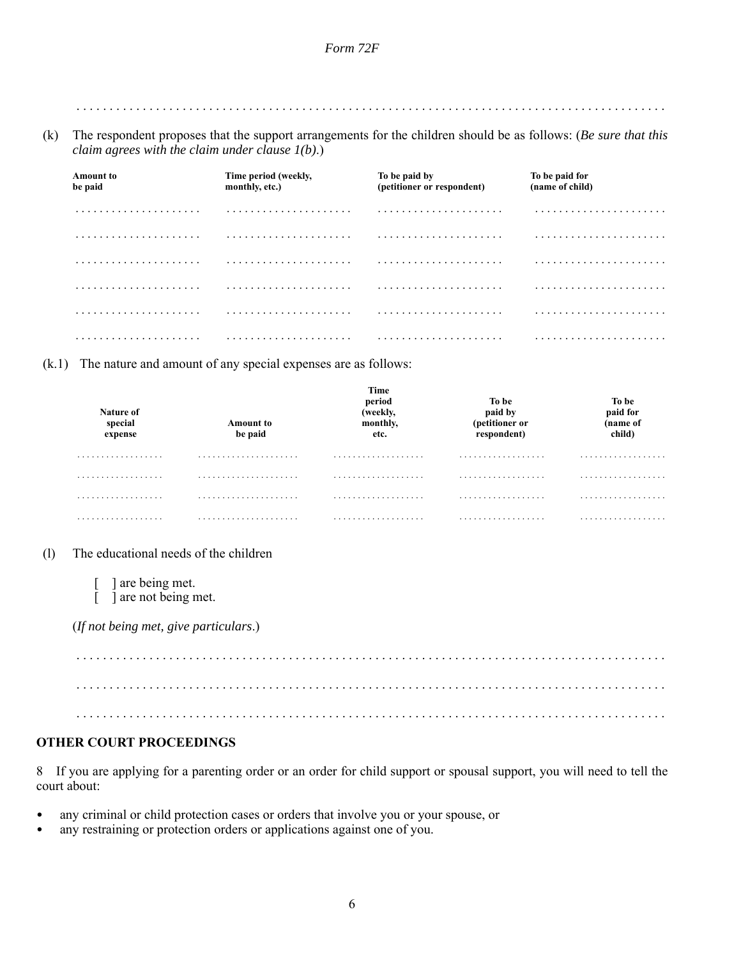. . . . . . . . . . . . . . . . . . . . . . . . . . . . . . . . . . . . . . . . . . . . . . . . . . . . . . . . . . . . . . . . . . . . . . . . . . . . . . . . . . . . . . . . .

(k) The respondent proposes that the support arrangements for the children should be as follows: (*Be sure that this claim agrees with the claim under clause 1(b)*.)

| <b>Amount to</b><br>be paid | Time period (weekly,<br>monthly, etc.) | To be paid by<br>(petitioner or respondent) | To be paid for<br>(name of child) |
|-----------------------------|----------------------------------------|---------------------------------------------|-----------------------------------|
|                             |                                        |                                             |                                   |
|                             |                                        |                                             |                                   |
| .                           |                                        |                                             |                                   |
|                             |                                        |                                             |                                   |
|                             |                                        |                                             |                                   |
|                             |                                        |                                             |                                   |

(k.1) The nature and amount of any special expenses are as follows:

| Nature of<br>special<br>expense | <b>Amount to</b><br>be paid | Time<br>period<br>(weekly,<br>monthly,<br>etc. | To be<br>paid by<br>(petitioner or<br>respondent) | To be<br>paid for<br>name of<br>child) |
|---------------------------------|-----------------------------|------------------------------------------------|---------------------------------------------------|----------------------------------------|
| .                               |                             | .                                              | .                                                 | .                                      |
| .                               |                             | .                                              | .                                                 | .                                      |
| .                               |                             | .                                              | .                                                 | .                                      |
| .                               |                             | .                                              | .                                                 | .                                      |

(l) The educational needs of the children

[ ] are being met. [ ] are not being met.

(*If not being met, give particulars*.)

 . . . . . . . . . . . . . . . . . . . . . . . . . . . . . . . . . . . . . . . . . . . . . . . . . . . . . . . . . . . . . . . . . . . . . . . . . . . . . . . . . . . . . . . . . . . . . . . . . . . . . . . . . . . . . . . . . . . . . . . . . . . . . . . . . . . . . . . . . . . . . . . . . . . . . . . . . . . . . . . . . . . . . . . . . . . . . . . . . . . . . . . . . . . . . . . . . . . . . . . . . . . . . . . . . . . . . . . . . . . . . . . . . . . . . . . . . . . . . . . . . . . . . . . . . . . . . . . . . . . . . . . . . . .

## **OTHER COURT PROCEEDINGS**

8 If you are applying for a parenting order or an order for child support or spousal support, you will need to tell the court about:

- any criminal or child protection cases or orders that involve you or your spouse, or
- any restraining or protection orders or applications against one of you.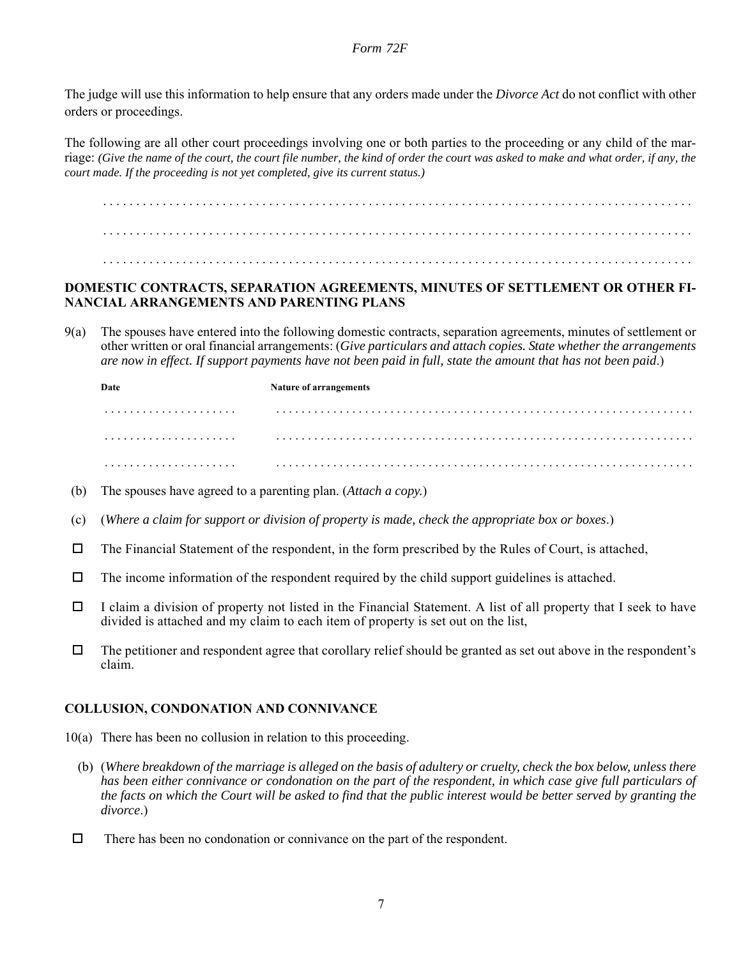The judge will use this information to help ensure that any orders made under the *Divorce Act* do not conflict with other orders or proceedings.

The following are all other court proceedings involving one or both parties to the proceeding or any child of the marriage: *(Give the name of the court, the court file number, the kind of order the court was asked to make and what order, if any, the court made. If the proceeding is not yet completed, give its current status.)*

. . . . . . . . . . . . . . . . . . . . . . . . . . . . . . . . . . . . . . . . . . . . . . . . . . . . . . . . . . . . . . . . . . . . . . . . . . . . . . . . . . . . . . . . . . . . . . . . . . . . . . . . . . . . . . . . . . . . . . . . . . . . . . . . . . . . . . . . . . . . . . . . . . . . . . . . . . . . . . . . . . . . . . . . . . . . . . . . . .

. . . . . . . . . . . . . . . . . . . . . . . . . . . . . . . . . . . . . . . . . . . . . . . . . . . . . . . . . . . . . . . . . . . . . . . . . . . . . . . . . . . . . . . . .

# **DOMESTIC CONTRACTS, SEPARATION AGREEMENTS, MINUTES OF SETTLEMENT OR OTHER FI-NANCIAL ARRANGEMENTS AND PARENTING PLANS**

9(a) The spouses have entered into the following domestic contracts, separation agreements, minutes of settlement or other written or oral financial arrangements: (*Give particulars and attach copies. State whether the arrangements are now in effect. If support payments have not been paid in full, state the amount that has not been paid*.)

**Date** Nature of arrangements . . . . . . . . . . . . . . . . . . . . . . . . . . . . . . . . . . . . . . . . . . . . . . . . . . . . . . . . . . . . . . . . . . . . . . . . . . . . . . . . . . . . . . . . . . . . . . . . . . . . . . . . . . . . . . . . . . . . . . . . . . . . . . . . . . . . . . . . . . . . . . . . . . . . . . . . . . . . . . . . . . . . . . . . . . . . . . . . . . . . . . . . . . . . . . . . . . . . . . . . . . . . . . . . . . . . . . . . . . . . . . . . . . . . . . . . . . . . . . . . . . . . . . . . . . . . . . . . . . . . .

- (b) The spouses have agreed to a parenting plan. (*Attach a copy.*)
- (c) (*Where a claim for support or division of property is made, check the appropriate box or boxes*.)
- $\Box$  The Financial Statement of the respondent, in the form prescribed by the Rules of Court, is attached,
- $\Box$  The income information of the respondent required by the child support guidelines is attached.
- $\Box$  I claim a division of property not listed in the Financial Statement. A list of all property that I seek to have divided is attached and my claim to each item of property is set out on the list,
- $\Box$  The petitioner and respondent agree that corollary relief should be granted as set out above in the respondent's claim.

## **COLLUSION, CONDONATION AND CONNIVANCE**

- 10(a) There has been no collusion in relation to this proceeding.
	- (b) (*Where breakdown of the marriage is alleged on the basis of adultery or cruelty, check the box below, unless there has been either connivance or condonation on the part of the respondent, in which case give full particulars of the facts on which the Court will be asked to find that the public interest would be better served by granting the divorce*.)
- $\Box$  There has been no condonation or connivance on the part of the respondent.